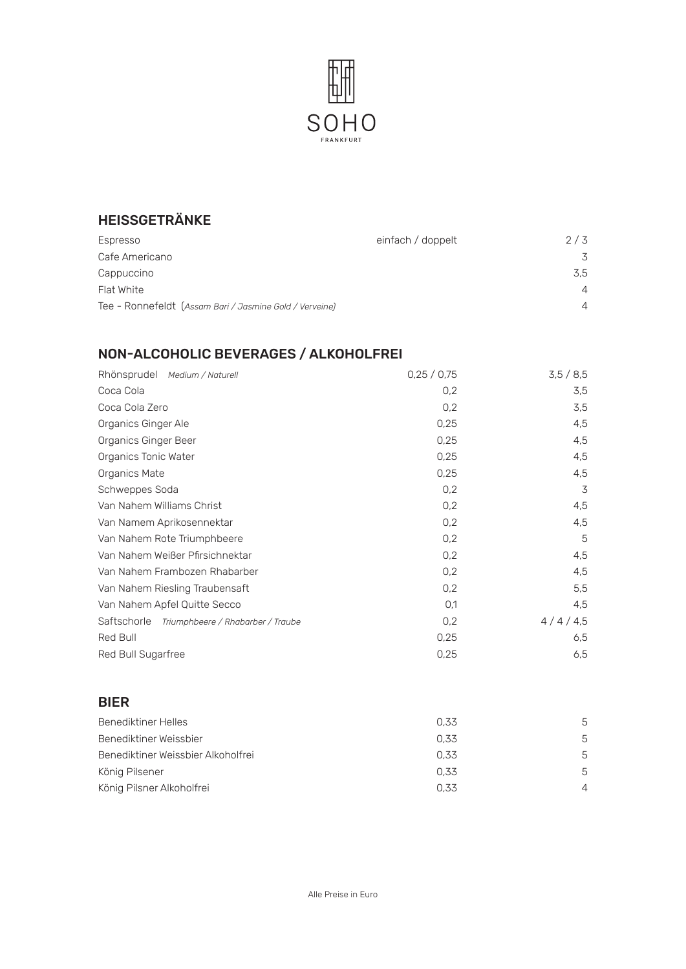

## HEISSGETRÄNKE

| Espresso                                                | einfach / doppelt | 2/3            |
|---------------------------------------------------------|-------------------|----------------|
| Cafe Americano                                          |                   | 3              |
| Cappuccino                                              |                   | 3.5            |
| Flat White                                              |                   | $\overline{4}$ |
| Tee - Ronnefeldt (Assam Bari / Jasmine Gold / Verveine) |                   | $\overline{4}$ |

# NON-ALCOHOLIC BEVERAGES / ALKOHOLFREI

| Rhönsprudel Medium / Naturell                 | 0,25/0,75 | 3,5/8,5 |
|-----------------------------------------------|-----------|---------|
| Coca Cola                                     | 0,2       | 3,5     |
| Coca Cola Zero                                | 0,2       | 3,5     |
| Organics Ginger Ale                           | 0,25      | 4,5     |
| Organics Ginger Beer                          | 0,25      | 4,5     |
| Organics Tonic Water                          | 0,25      | 4,5     |
| Organics Mate                                 | 0,25      | 4,5     |
| Schweppes Soda                                | 0,2       | 3       |
| Van Nahem Williams Christ                     | 0,2       | 4,5     |
| Van Namem Aprikosennektar                     | 0,2       | 4,5     |
| Van Nahem Rote Triumphbeere                   | 0,2       | 5       |
| Van Nahem Weißer Pfirsichnektar               | 0,2       | 4,5     |
| Van Nahem Frambozen Rhabarber                 | 0,2       | 4,5     |
| Van Nahem Riesling Traubensaft                | 0,2       | 5,5     |
| Van Nahem Apfel Quitte Secco                  | 0,1       | 4,5     |
| Saftschorle Triumphbeere / Rhabarber / Traube | 0,2       | 4/4/4,5 |
| Red Bull                                      | 0,25      | 6,5     |
| Red Bull Sugarfree                            | 0,25      | 6,5     |

#### BIER

| Benediktiner Helles                | 0.33 | 5        |
|------------------------------------|------|----------|
| Benediktiner Weissbier             | 0.33 | 5        |
| Benediktiner Weissbier Alkoholfrei | 0.33 | 5        |
| König Pilsener                     | 0.33 | 5        |
| König Pilsner Alkoholfrei          | 0.33 | $\Delta$ |